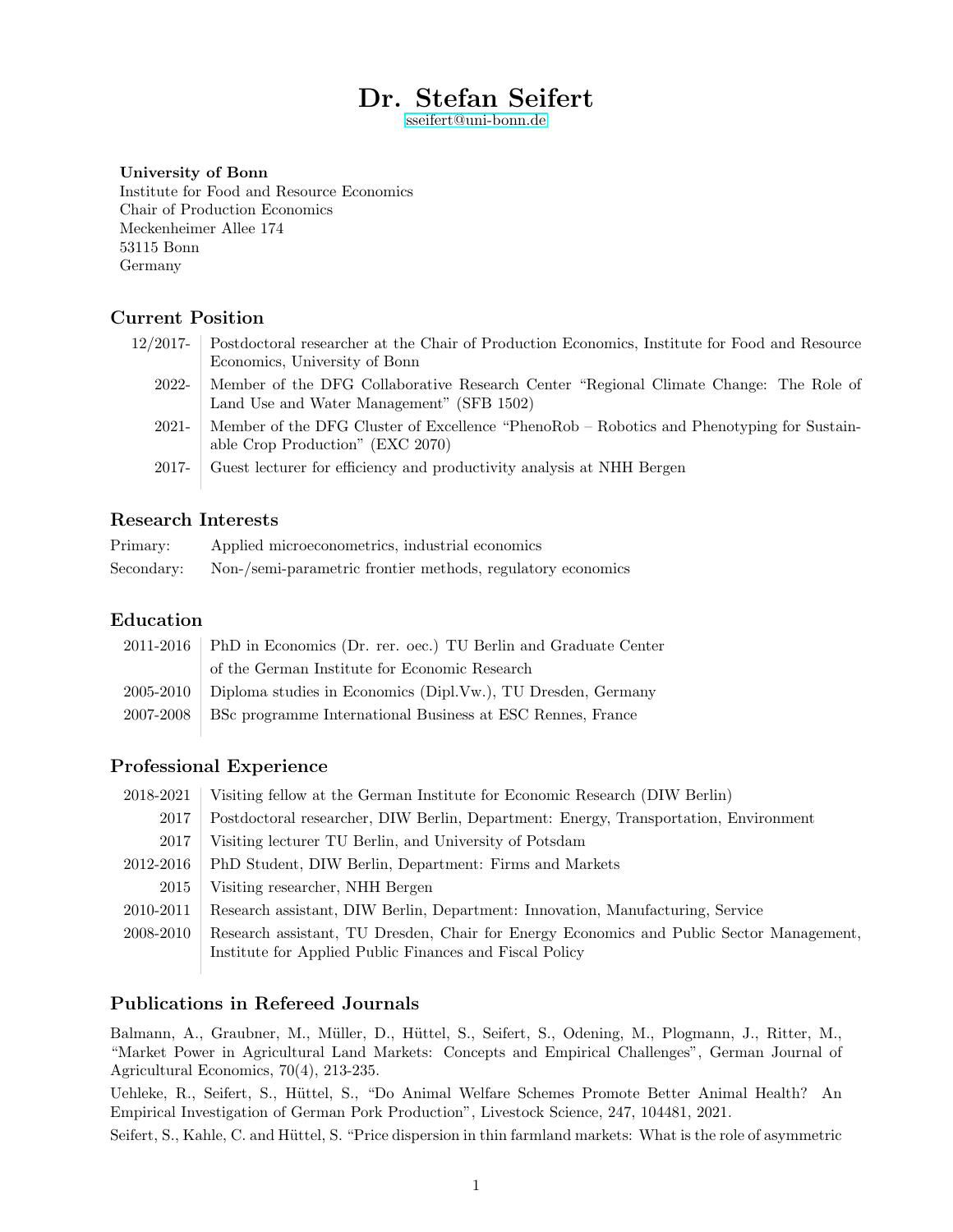# Dr. Stefan Seifert

[sseifert@uni-bonn.de](mailto:sseifert@uni-bonn.de)

#### University of Bonn

Institute for Food and Resource Economics Chair of Production Economics Meckenheimer Allee 174 53115 Bonn Germany

### Current Position

12/2017- Postdoctoral researcher at the Chair of Production Economics, Institute for Food and Resource Economics, University of Bonn 2022- Member of the DFG Collaborative Research Center "Regional Climate Change: The Role of Land Use and Water Management" (SFB 1502) 2021- Member of the DFG Cluster of Excellence "PhenoRob – Robotics and Phenotyping for Sustainable Crop Production" (EXC 2070) 2017- Guest lecturer for efficiency and productivity analysis at NHH Bergen

#### Research Interests

| Primary:   | Applied microeconometrics, industrial economics             |
|------------|-------------------------------------------------------------|
| Secondary: | Non-/semi-parametric frontier methods, regulatory economics |

#### Education

| 2011-2016   PhD in Economics (Dr. rer. oec.) TU Berlin and Graduate Center |
|----------------------------------------------------------------------------|
| of the German Institute for Economic Research                              |
| $2005-2010$ Diploma studies in Economics (Dipl.Vw.), TU Dresden, Germany   |
| 2007-2008   BSc programme International Business at ESC Rennes, France     |

#### Professional Experience

| 2018-2021 | Visiting fellow at the German Institute for Economic Research (DIW Berlin)               |
|-----------|------------------------------------------------------------------------------------------|
| 2017      | Postdoctoral researcher, DIW Berlin, Department: Energy, Transportation, Environment     |
| 2017      | Visiting lecturer TU Berlin, and University of Potsdam                                   |
| 2012-2016 | PhD Student, DIW Berlin, Department: Firms and Markets                                   |
| 2015      | Visiting researcher, NHH Bergen                                                          |
| 2010-2011 | Research assistant, DIW Berlin, Department: Innovation, Manufacturing, Service           |
| 2008-2010 | Research assistant, TU Dresden, Chair for Energy Economics and Public Sector Management, |
|           | Institute for Applied Public Finances and Fiscal Policy                                  |

#### Publications in Refereed Journals

Balmann, A., Graubner, M., Müller, D., Hüttel, S., Seifert, S., Odening, M., Plogmann, J., Ritter, M., "Market Power in Agricultural Land Markets: Concepts and Empirical Challenges", German Journal of Agricultural Economics, 70(4), 213-235.

Uehleke, R., Seifert, S., Hüttel, S., "Do Animal Welfare Schemes Promote Better Animal Health? An Empirical Investigation of German Pork Production", Livestock Science, 247, 104481, 2021.

Seifert, S., Kahle, C. and Hüttel, S. "Price dispersion in thin farmland markets: What is the role of asymmetric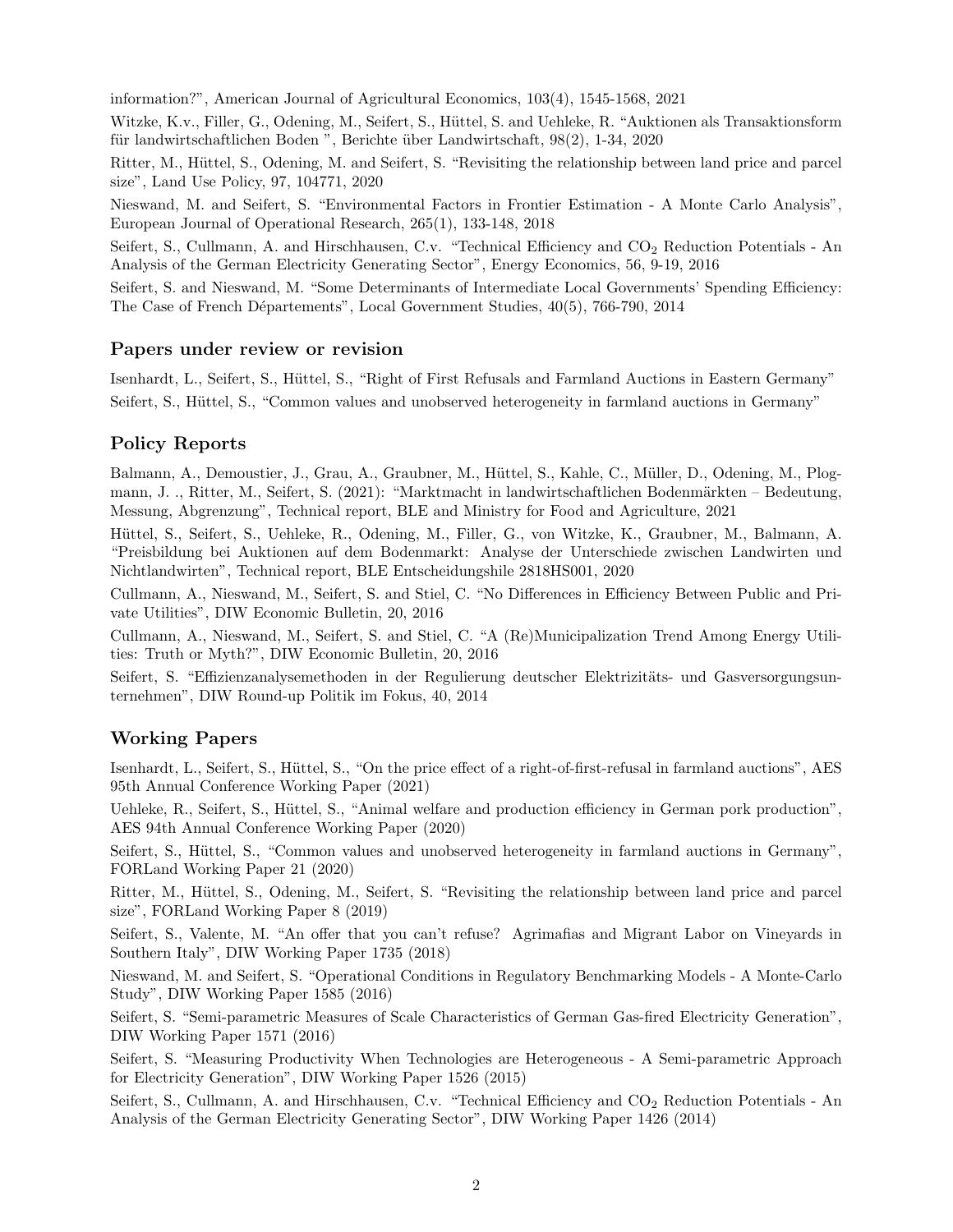information?", American Journal of Agricultural Economics, 103(4), 1545-1568, 2021

Witzke, K.v., Filler, G., Odening, M., Seifert, S., Hüttel, S. and Uehleke, R. "Auktionen als Transaktionsform für landwirtschaftlichen Boden ", Berichte über Landwirtschaft, 98(2), 1-34, 2020

Ritter, M., Hüttel, S., Odening, M. and Seifert, S. "Revisiting the relationship between land price and parcel size", Land Use Policy, 97, 104771, 2020

Nieswand, M. and Seifert, S. "Environmental Factors in Frontier Estimation - A Monte Carlo Analysis", European Journal of Operational Research, 265(1), 133-148, 2018

Seifert, S., Cullmann, A. and Hirschhausen, C.v. "Technical Efficiency and  $CO_2$  Reduction Potentials - An Analysis of the German Electricity Generating Sector", Energy Economics, 56, 9-19, 2016

Seifert, S. and Nieswand, M. "Some Determinants of Intermediate Local Governments' Spending Efficiency: The Case of French Départements", Local Government Studies,  $40(5)$ , 766-790, 2014

#### Papers under review or revision

Isenhardt, L., Seifert, S., Hüttel, S., "Right of First Refusals and Farmland Auctions in Eastern Germany" Seifert, S., Hüttel, S., "Common values and unobserved heterogeneity in farmland auctions in Germany"

#### Policy Reports

Balmann, A., Demoustier, J., Grau, A., Graubner, M., Hüttel, S., Kahle, C., Müller, D., Odening, M., Plogmann, J. ., Ritter, M., Seifert, S. (2021): "Marktmacht in landwirtschaftlichen Bodenmärkten – Bedeutung, Messung, Abgrenzung", Technical report, BLE and Ministry for Food and Agriculture, 2021

Hüttel, S., Seifert, S., Uehleke, R., Odening, M., Filler, G., von Witzke, K., Graubner, M., Balmann, A. "Preisbildung bei Auktionen auf dem Bodenmarkt: Analyse der Unterschiede zwischen Landwirten und Nichtlandwirten", Technical report, BLE Entscheidungshile 2818HS001, 2020

Cullmann, A., Nieswand, M., Seifert, S. and Stiel, C. "No Differences in Efficiency Between Public and Private Utilities", DIW Economic Bulletin, 20, 2016

Cullmann, A., Nieswand, M., Seifert, S. and Stiel, C. "A (Re)Municipalization Trend Among Energy Utilities: Truth or Myth?", DIW Economic Bulletin, 20, 2016

Seifert, S. "Effizienzanalysemethoden in der Regulierung deutscher Elektrizitäts- und Gasversorgungsunternehmen", DIW Round-up Politik im Fokus, 40, 2014

#### Working Papers

Isenhardt, L., Seifert, S., Hüttel, S., "On the price effect of a right-of-first-refusal in farmland auctions", AES 95th Annual Conference Working Paper (2021)

Uehleke, R., Seifert, S., Hüttel, S., "Animal welfare and production efficiency in German pork production", AES 94th Annual Conference Working Paper (2020)

Seifert, S., Hüttel, S., "Common values and unobserved heterogeneity in farmland auctions in Germany", FORLand Working Paper 21 (2020)

Ritter, M., Hüttel, S., Odening, M., Seifert, S. "Revisiting the relationship between land price and parcel size", FORLand Working Paper 8 (2019)

Seifert, S., Valente, M. "An offer that you can't refuse? Agrimafias and Migrant Labor on Vineyards in Southern Italy", DIW Working Paper 1735 (2018)

Nieswand, M. and Seifert, S. "Operational Conditions in Regulatory Benchmarking Models - A Monte-Carlo Study", DIW Working Paper 1585 (2016)

Seifert, S. "Semi-parametric Measures of Scale Characteristics of German Gas-fired Electricity Generation", DIW Working Paper 1571 (2016)

Seifert, S. "Measuring Productivity When Technologies are Heterogeneous - A Semi-parametric Approach for Electricity Generation", DIW Working Paper 1526 (2015)

Seifert, S., Cullmann, A. and Hirschhausen, C.v. "Technical Efficiency and  $CO<sub>2</sub>$  Reduction Potentials - An Analysis of the German Electricity Generating Sector", DIW Working Paper 1426 (2014)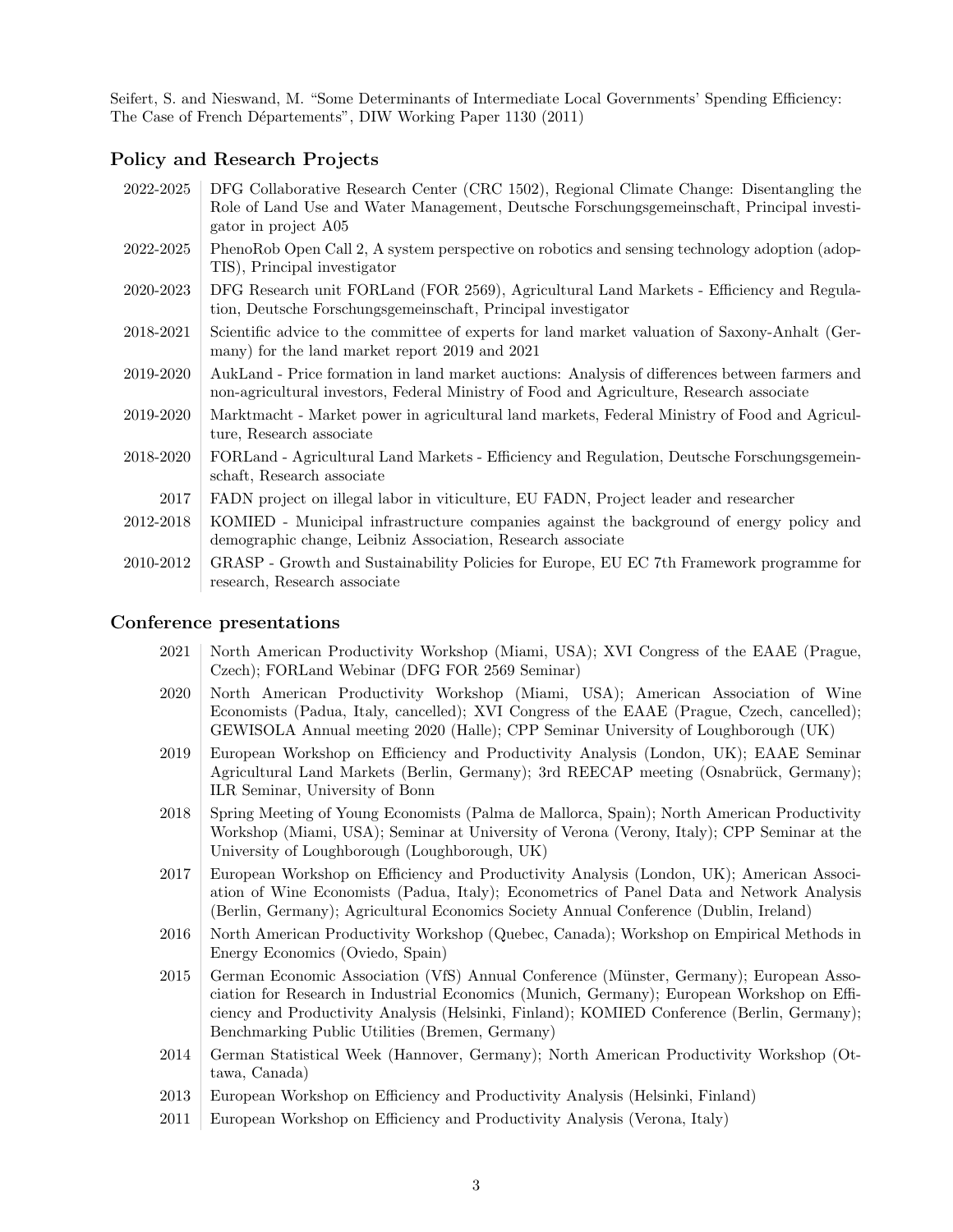Seifert, S. and Nieswand, M. "Some Determinants of Intermediate Local Governments' Spending Efficiency: The Case of French Départements", DIW Working Paper 1130 (2011)

#### Policy and Research Projects

- 2022-2025 DFG Collaborative Research Center (CRC 1502), Regional Climate Change: Disentangling the Role of Land Use and Water Management, Deutsche Forschungsgemeinschaft, Principal investigator in project A05 2022-2025 PhenoRob Open Call 2, A system perspective on robotics and sensing technology adoption (adop-TIS), Principal investigator 2020-2023 DFG Research unit FORLand (FOR 2569), Agricultural Land Markets - Efficiency and Regulation, Deutsche Forschungsgemeinschaft, Principal investigator 2018-2021 Scientific advice to the committee of experts for land market valuation of Saxony-Anhalt (Germany) for the land market report 2019 and 2021 2019-2020 AukLand - Price formation in land market auctions: Analysis of differences between farmers and non-agricultural investors, Federal Ministry of Food and Agriculture, Research associate 2019-2020 Marktmacht - Market power in agricultural land markets, Federal Ministry of Food and Agriculture, Research associate 2018-2020 FORLand - Agricultural Land Markets - Efficiency and Regulation, Deutsche Forschungsgemeinschaft, Research associate 2017 FADN project on illegal labor in viticulture, EU FADN, Project leader and researcher 2012-2018 KOMIED - Municipal infrastructure companies against the background of energy policy and demographic change, Leibniz Association, Research associate
- 2010-2012 GRASP Growth and Sustainability Policies for Europe, EU EC 7th Framework programme for research, Research associate

#### Conference presentations

- 2021 North American Productivity Workshop (Miami, USA); XVI Congress of the EAAE (Prague, Czech); FORLand Webinar (DFG FOR 2569 Seminar)
- 2020 North American Productivity Workshop (Miami, USA); American Association of Wine Economists (Padua, Italy, cancelled); XVI Congress of the EAAE (Prague, Czech, cancelled); GEWISOLA Annual meeting 2020 (Halle); CPP Seminar University of Loughborough (UK)
- 2019 European Workshop on Efficiency and Productivity Analysis (London, UK); EAAE Seminar Agricultural Land Markets (Berlin, Germany); 3rd REECAP meeting (Osnabrück, Germany); ILR Seminar, University of Bonn
- 2018 Spring Meeting of Young Economists (Palma de Mallorca, Spain); North American Productivity Workshop (Miami, USA); Seminar at University of Verona (Verony, Italy); CPP Seminar at the University of Loughborough (Loughborough, UK)
- 2017 European Workshop on Efficiency and Productivity Analysis (London, UK); American Association of Wine Economists (Padua, Italy); Econometrics of Panel Data and Network Analysis (Berlin, Germany); Agricultural Economics Society Annual Conference (Dublin, Ireland)
- 2016 North American Productivity Workshop (Quebec, Canada); Workshop on Empirical Methods in Energy Economics (Oviedo, Spain)
- 2015 German Economic Association (VfS) Annual Conference (Münster, Germany); European Association for Research in Industrial Economics (Munich, Germany); European Workshop on Efficiency and Productivity Analysis (Helsinki, Finland); KOMIED Conference (Berlin, Germany); Benchmarking Public Utilities (Bremen, Germany)
- 2014 German Statistical Week (Hannover, Germany); North American Productivity Workshop (Ottawa, Canada)
- 2013 European Workshop on Efficiency and Productivity Analysis (Helsinki, Finland)
- 2011 European Workshop on Efficiency and Productivity Analysis (Verona, Italy)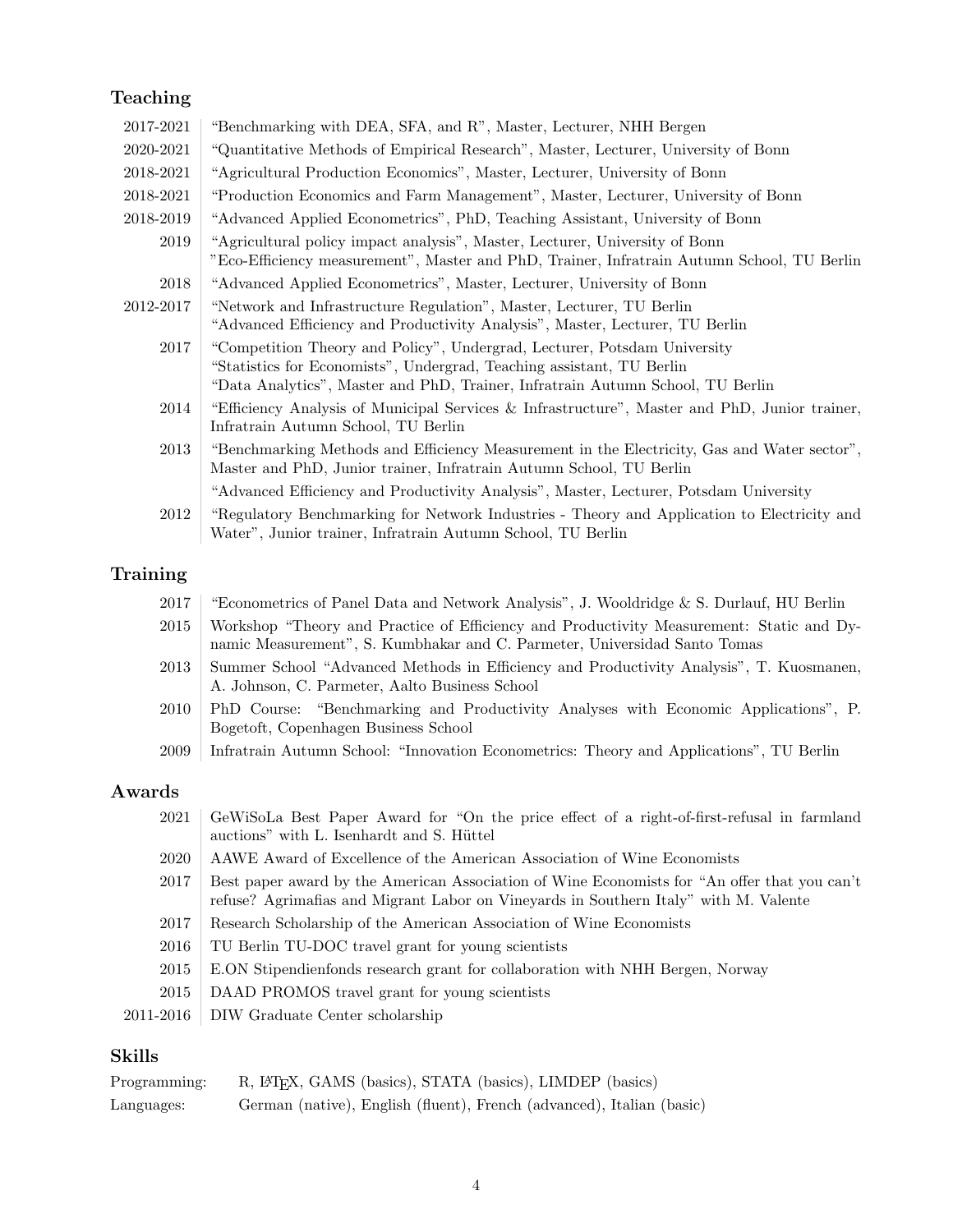# Teaching

| 2017-2021 | "Benchmarking with DEA, SFA, and R", Master, Lecturer, NHH Bergen                                                                                                                                                                   |
|-----------|-------------------------------------------------------------------------------------------------------------------------------------------------------------------------------------------------------------------------------------|
| 2020-2021 | "Quantitative Methods of Empirical Research", Master, Lecturer, University of Bonn                                                                                                                                                  |
| 2018-2021 | "Agricultural Production Economics", Master, Lecturer, University of Bonn                                                                                                                                                           |
| 2018-2021 | "Production Economics and Farm Management", Master, Lecturer, University of Bonn                                                                                                                                                    |
| 2018-2019 | "Advanced Applied Econometrics", PhD, Teaching Assistant, University of Bonn                                                                                                                                                        |
| 2019      | "Agricultural policy impact analysis", Master, Lecturer, University of Bonn<br>"Eco-Efficiency measurement", Master and PhD, Trainer, Infratrain Autumn School, TU Berlin                                                           |
| 2018      | "Advanced Applied Econometrics", Master, Lecturer, University of Bonn                                                                                                                                                               |
| 2012-2017 | "Network and Infrastructure Regulation", Master, Lecturer, TU Berlin<br>"Advanced Efficiency and Productivity Analysis", Master, Lecturer, TU Berlin                                                                                |
| 2017      | "Competition Theory and Policy", Undergrad, Lecturer, Potsdam University<br>"Statistics for Economists", Undergrad, Teaching assistant, TU Berlin<br>"Data Analytics", Master and PhD, Trainer, Infratrain Autumn School, TU Berlin |
| 2014      | "Efficiency Analysis of Municipal Services & Infrastructure", Master and PhD, Junior trainer,<br>Infratrain Autumn School, TU Berlin                                                                                                |
| 2013      | "Benchmarking Methods and Efficiency Measurement in the Electricity, Gas and Water sector",<br>Master and PhD, Junior trainer, Infratrain Autumn School, TU Berlin                                                                  |
|           | "Advanced Efficiency and Productivity Analysis", Master, Lecturer, Potsdam University                                                                                                                                               |
| 2012      | "Regulatory Benchmarking for Network Industries - Theory and Application to Electricity and<br>Water", Junior trainer, Infratrain Autumn School, TU Berlin                                                                          |

## **Training**

| 2017 | "Econometrics of Panel Data and Network Analysis", J. Wooldridge & S. Durlauf, HU Berlin |
|------|------------------------------------------------------------------------------------------|
| 2015 | Workshop "Theory and Practice of Efficiency and Productivity Measurement: Static and Dy- |
|      | namic Measurement", S. Kumbhakar and C. Parmeter, Universidad Santo Tomas                |
| 2013 | Summer School "Advanced Methods in Efficiency and Productivity Analysis", T. Kuosmanen,  |
|      | A. Johnson, C. Parmeter, Aalto Business School                                           |
| 2010 | PhD Course: "Benchmarking and Productivity Analyses with Economic Applications" P        |

- 2010 PhD Course: "Benchmarking and Productivity Analyses with Economic Applications", P. Bogetoft, Copenhagen Business School
- 2009 Infratrain Autumn School: "Innovation Econometrics: Theory and Applications", TU Berlin

# Awards

| 2021      | GeWiSoLa Best Paper Award for "On the price effect of a right-of-first-refusal in farmland<br>auctions" with L. Isenhardt and S. Hüttel                                              |
|-----------|--------------------------------------------------------------------------------------------------------------------------------------------------------------------------------------|
| 2020      | AAWE Award of Excellence of the American Association of Wine Economists                                                                                                              |
| 2017      | Best paper award by the American Association of Wine Economists for "An offer that you can't<br>refuse? Agrimatias and Migrant Labor on Vineyards in Southern Italy" with M. Valente |
| 2017      | Research Scholarship of the American Association of Wine Economists                                                                                                                  |
| 2016      | TU Berlin TU-DOC travel grant for young scientists                                                                                                                                   |
| 2015      | E.ON Stipendienfonds research grant for collaboration with NHH Bergen, Norway                                                                                                        |
| 2015      | DAAD PROMOS travel grant for young scientists                                                                                                                                        |
| 2011-2016 | DIW Graduate Center scholarship                                                                                                                                                      |
|           |                                                                                                                                                                                      |

#### Skills

| Programming: | R, L <sup>AT</sup> FX, GAMS (basics), STATA (basics), LIMDEP (basics) |
|--------------|-----------------------------------------------------------------------|
| Languages:   | German (native), English (fluent), French (advanced), Italian (basic) |